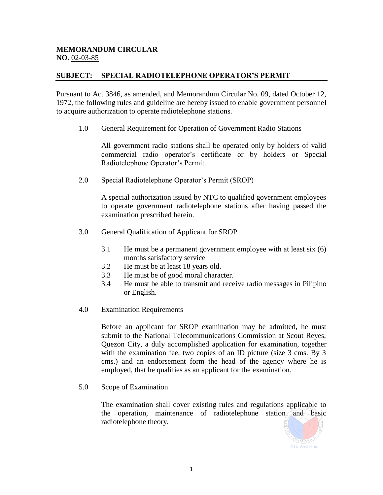## **MEMORANDUM CIRCULAR NO**. 02-03-85

## **SUBJECT: SPECIAL RADIOTELEPHONE OPERATOR'S PERMIT**

Pursuant to Act 3846, as amended, and Memorandum Circular No. 09, dated October 12, 1972, the following rules and guideline are hereby issued to enable government personnel to acquire authorization to operate radiotelephone stations.

1.0 General Requirement for Operation of Government Radio Stations

All government radio stations shall be operated only by holders of valid commercial radio operator's certificate or by holders or Special Radiotelephone Operator's Permit.

2.0 Special Radiotelephone Operator's Permit (SROP)

A special authorization issued by NTC to qualified government employees to operate government radiotelephone stations after having passed the examination prescribed herein.

- 3.0 General Qualification of Applicant for SROP
	- 3.1 He must be a permanent government employee with at least six (6) months satisfactory service
	- 3.2 He must be at least 18 years old.
	- 3.3 He must be of good moral character.
	- 3.4 He must be able to transmit and receive radio messages in Pilipino or English.
- 4.0 Examination Requirements

Before an applicant for SROP examination may be admitted, he must submit to the National Telecommunications Commission at Scout Reyes, Quezon City, a duly accomplished application for examination, together with the examination fee, two copies of an ID picture (size 3 cms. By 3 cms.) and an endorsement form the head of the agency where he is employed, that he qualifies as an applicant for the examination.

5.0 Scope of Examination

The examination shall cover existing rules and regulations applicable to the operation, maintenance of radiotelephone station and basic radiotelephone theory.

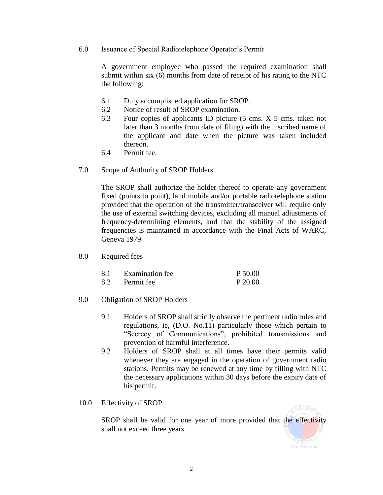6.0 Issuance of Special Radiotelephone Operator's Permit

A government employee who passed the required examination shall submit within six (6) months from date of receipt of his rating to the NTC the following:

- 6.1 Duly accomplished application for SROP.
- 6.2 Notice of result of SROP examination.
- 6.3 Four copies of applicants ID picture (5 cms. X 5 cms. taken not later than 3 months from date of filing) with the inscribed name of the applicant and date when the picture was taken included thereon.
- 6.4 Permit fee.
- 7.0 Scope of Authority of SROP Holders

The SROP shall authorize the holder thereof to operate any government fixed (points to point), land mobile and/or portable radiotelephone station provided that the operation of the transmitter/transceiver will require only the use of external switching devices, excluding all manual adjustments of frequency-determining elements, and that the stability of the assigned frequencies is maintained in accordance with the Final Acts of WARC, Geneva 1979.

8.0 Required fees

| 8.1 | <b>Examination</b> fee | P 50.00 |
|-----|------------------------|---------|
| 8.2 | Permit fee             | P 20.00 |

- 9.0 Obligation of SROP Holders
	- 9.1 Holders of SROP shall strictly observe the pertinent radio rules and regulations, ie, (D.O. No.11) particularly those which pertain to "Secrecy of Communications", prohibited transmissions and prevention of harmful interference.
	- 9.2 Holders of SROP shall at all times have their permits valid whenever they are engaged in the operation of government radio stations. Permits may be renewed at any time by filling with NTC the necessary applications within 30 days before the expiry date of his permit.
- 10.0 Effectivity of SROP

SROP shall be valid for one year of more provided that the effectivity shall not exceed three years.

2